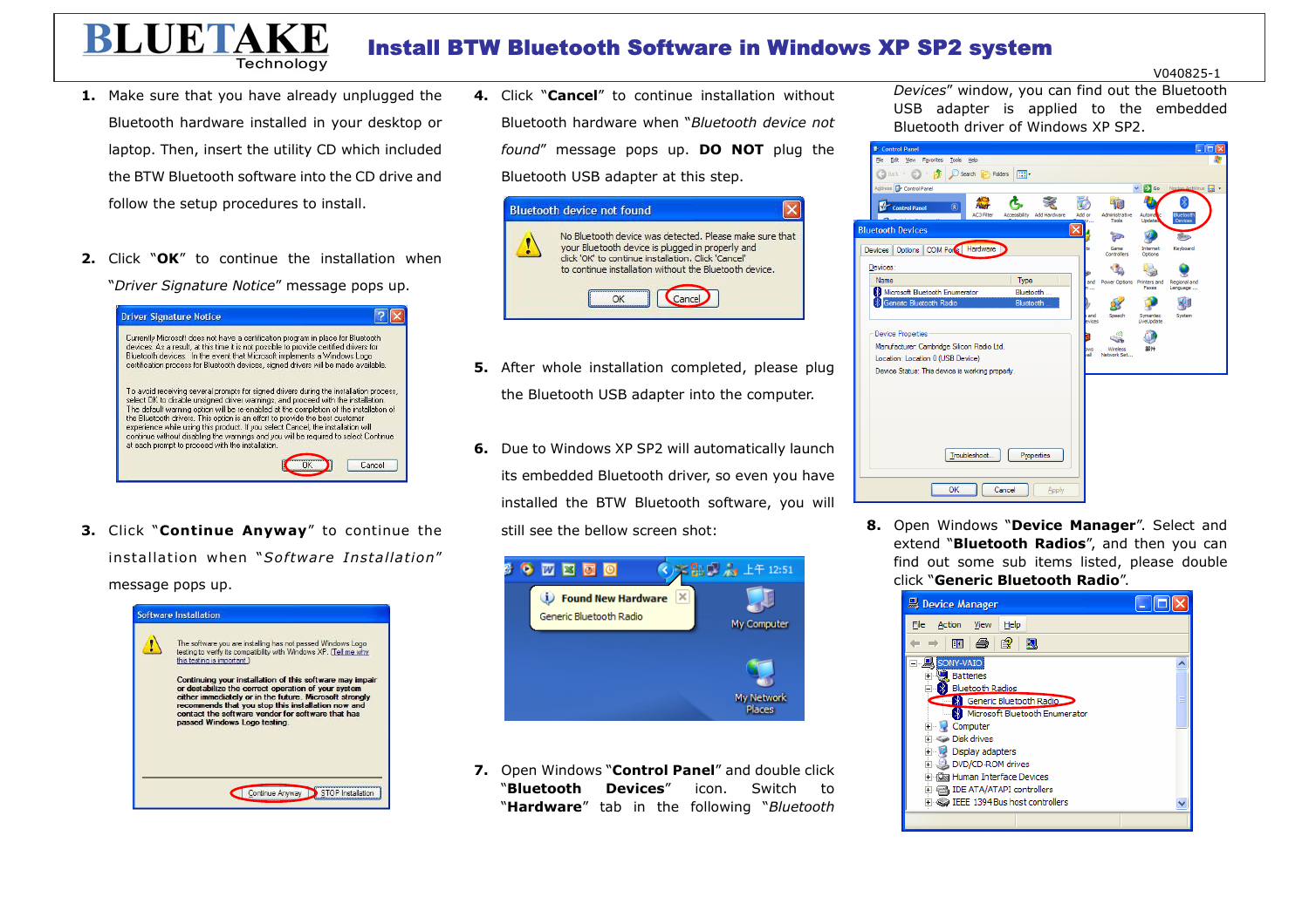## Install BTW Bluetooth Software in Windows XP SP2 system

V040825-1

**1.** Make sure that you have already unplugged the Bluetooth hardware installed in your desktop or laptop. Then, insert the utility CD which included the BTW Bluetooth software into the CD drive and follow the setup procedures to install.

Technology

**BLUETAKE** 

**2.** Click "**OK**" to continue the installation when "*Driver Signature Notice*" message pops up.



**3.** Click "**Continue Anyway**" to continue the installation when "*Software Installation*" message pops up.



**4.** Click "**Cancel**" to continue installation without Bluetooth hardware when "*Bluetooth device not found*" message pops up. **DO NOT** plug the Bluetooth USB adapter at this step.



- **5.** After whole installation completed, please plug the Bluetooth USB adapter into the computer.
- **6.** Due to Windows XP SP2 will automatically launch its embedded Bluetooth driver, so even you have installed the BTW Bluetooth software, you will still see the bellow screen shot:



**7.** Open Windows "**Control Panel**" and double click "**Bluetooth Devices**" icon. Switch to "**Hardware**" tab in the following "*Bluetooth* 

*Devices*" window, you can find out the Bluetooth USB adapter is applied to the embedded Bluetooth driver of Windows XP SP2.



**8.** Open Windows "**Device Manager**". Select and extend "**Bluetooth Radios**", and then you can find out some sub items listed, please double click "**Generic Bluetooth Radio**".